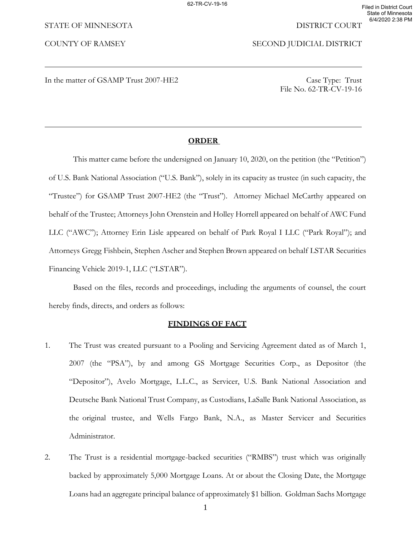### STATE OF MINNESOTA DISTRICT COURT

COUNTY OF RAMSEY SECOND JUDICIAL DISTRICT

In the matter of GSAMP Trust 2007-HE2 Case Type: Trust

File No. 62-TR-CV-19-16

### **ORDER**

This matter came before the undersigned on January 10, 2020, on the petition (the "Petition") of U.S. Bank National Association ("U.S. Bank"), solely in its capacity as trustee (in such capacity, the "Trustee") for GSAMP Trust 2007-HE2 (the "Trust"). Attorney Michael McCarthy appeared on behalf of the Trustee; Attorneys John Orenstein and Holley Horrell appeared on behalf of AWC Fund LLC ("AWC"); Attorney Erin Lisle appeared on behalf of Park Royal I LLC ("Park Royal"); and Attorneys Gregg Fishbein, Stephen Ascher and Stephen Brown appeared on behalf LSTAR Securities Financing Vehicle 2019-1, LLC ("LSTAR").

Based on the files, records and proceedings, including the arguments of counsel, the court hereby finds, directs, and orders as follows:

# **FINDINGS OF FACT**

- 1. The Trust was created pursuant to a Pooling and Servicing Agreement dated as of March 1, 2007 (the "PSA"), by and among GS Mortgage Securities Corp., as Depositor (the "Depositor"), Avelo Mortgage, L.L.C., as Servicer, U.S. Bank National Association and Deutsche Bank National Trust Company, as Custodians, LaSalle Bank National Association, as the original trustee, and Wells Fargo Bank, N.A., as Master Servicer and Securities Administrator.
- 2. The Trust is a residential mortgage-backed securities ("RMBS") trust which was originally backed by approximately 5,000 Mortgage Loans. At or about the Closing Date, the Mortgage Loans had an aggregate principal balance of approximately \$1 billion. Goldman Sachs Mortgage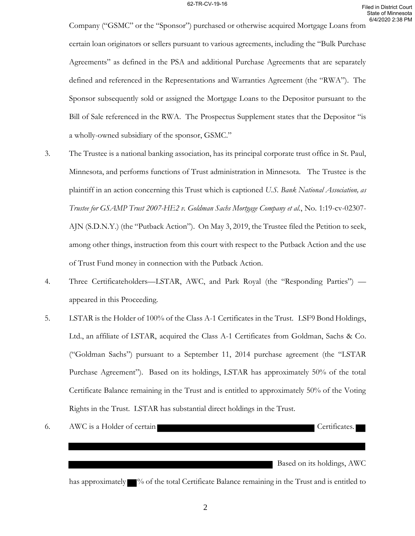Company ("GSMC" or the "Sponsor") purchased or otherwise acquired Mortgage Loans from certain loan originators or sellers pursuant to various agreements, including the "Bulk Purchase Agreements" as defined in the PSA and additional Purchase Agreements that are separately defined and referenced in the Representations and Warranties Agreement (the "RWA"). The Sponsor subsequently sold or assigned the Mortgage Loans to the Depositor pursuant to the Bill of Sale referenced in the RWA. The Prospectus Supplement states that the Depositor "is a wholly-owned subsidiary of the sponsor, GSMC."

- 3. The Trustee is a national banking association, has its principal corporate trust office in St. Paul, Minnesota, and performs functions of Trust administration in Minnesota. The Trustee is the plaintiff in an action concerning this Trust which is captioned *U.S. Bank National Association, as Trustee for GSAMP Trust 2007-HE2 v. Goldman Sachs Mortgage Company et al.*, No. 1:19-cv-02307- AJN (S.D.N.Y.) (the "Putback Action"). On May 3, 2019, the Trustee filed the Petition to seek, among other things, instruction from this court with respect to the Putback Action and the use of Trust Fund money in connection with the Putback Action.
- 4. Three Certificateholders—LSTAR, AWC, and Park Royal (the "Responding Parties") appeared in this Proceeding.
- 5. LSTAR is the Holder of 100% of the Class A-1 Certificates in the Trust. LSF9 Bond Holdings, Ltd., an affiliate of LSTAR, acquired the Class A-1 Certificates from Goldman, Sachs & Co. ("Goldman Sachs") pursuant to a September 11, 2014 purchase agreement (the "LSTAR Purchase Agreement"). Based on its holdings, LSTAR has approximately 50% of the total Certificate Balance remaining in the Trust and is entitled to approximately 50% of the Voting Rights in the Trust. LSTAR has substantial direct holdings in the Trust.
- 6. AWC is a Holder of certain Certificates.

Based on its holdings, AWC

has approximately  $\blacksquare$ % of the total Certificate Balance remaining in the Trust and is entitled to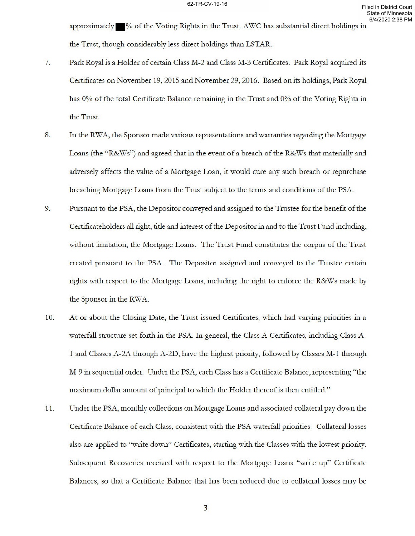approximately •% of the Voting Rights in the Trust. AWC has substantial direct holdings in the Trust, though considerably less direct holdings than LSTAR.

- 7. Park Royal is a Holder of certain Class M-2 and Class M-3 Certificates. Park Royal acquired its Certificates on November 19, 2015 and November 29, 2016. Based on its holdings, Park Royal has 0% of the total Certificate Balance remaining in the Trust and 0% of the Voting Rights in the Trust.
- 8. In the RWA, the Sponsor made various representations and warranties regarding the Mortgage Loans (the "R&Ws") and agreed that in the event of a breach of the R&Ws that materially and adversely affects the value of a Mortgage Loan, it would cure any such breach or repurchase breaching Mortgage Loans from the Trust subject to the terms and conditions of the PSA.
- 9. Pursuant to the PSA, the Depositor conveyed and assigned to the Trustee for the benefit of the Certificateholders all right, title and interest of the Depositor in and to the Trust Fund including, without limitation, the Mortgage Loans. The Trust Fund constitutes the corpus of the Trust created pursuant to the PSA. The Depositor assigned and conveyed to the Trustee certain rights with respect to the Mortgage Loans, including the right to enforce the R&Ws made by the Sponsor in the RWA.
- 10. At or about the Closing Date, the Trust issued Certificates, which had varying priorities in a waterfall structure set forth in the PSA. In general, the Class A Certificates, including Class A-1 and Classes A-2A through A-2D, have the highest priority, followed by Classes M-1 through M-9 in sequential order. Under the PSA, each Class has a Certificate Balance, representing "the maximum dollar amount of principal to which the Holder thereof is then entitled."
- 11. Under the PSA, monthly collections on Mortgage Loans and associated collateral pay down the Certificate Balance of each Class, consistent with the PSA waterfall priorities. Collateral losses also are applied to "write down" Certificates, starting with the Classes with the lowest priority. Subsequent Recoveries received with respect to the Mortgage Loans "write up" Certificate Balances, so that a Certificate Balance that has been reduced due to collateral losses may be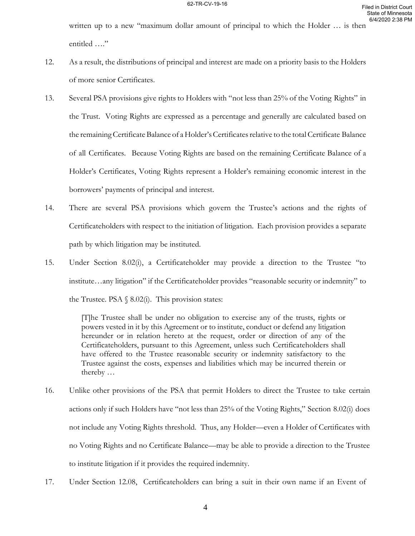written up to a new "maximum dollar amount of principal to which the Holder … is then entitled …."

- 12. As a result, the distributions of principal and interest are made on a priority basis to the Holders of more senior Certificates.
- 13. Several PSA provisions give rights to Holders with "not less than 25% of the Voting Rights" in the Trust. Voting Rights are expressed as a percentage and generally are calculated based on the remaining Certificate Balance of a Holder's Certificates relative to the total Certificate Balance of all Certificates. Because Voting Rights are based on the remaining Certificate Balance of a Holder's Certificates, Voting Rights represent a Holder's remaining economic interest in the borrowers' payments of principal and interest.
- 14. There are several PSA provisions which govern the Trustee's actions and the rights of Certificateholders with respect to the initiation of litigation. Each provision provides a separate path by which litigation may be instituted.
- 15. Under Section 8.02(i), a Certificateholder may provide a direction to the Trustee "to institute…any litigation" if the Certificateholder provides "reasonable security or indemnity" to the Trustee. PSA  $\S$  8.02(i). This provision states:

[T]he Trustee shall be under no obligation to exercise any of the trusts, rights or powers vested in it by this Agreement or to institute, conduct or defend any litigation hereunder or in relation hereto at the request, order or direction of any of the Certificateholders, pursuant to this Agreement, unless such Certificateholders shall have offered to the Trustee reasonable security or indemnity satisfactory to the Trustee against the costs, expenses and liabilities which may be incurred therein or thereby …

- 16. Unlike other provisions of the PSA that permit Holders to direct the Trustee to take certain actions only if such Holders have "not less than 25% of the Voting Rights," Section 8.02(i) does not include any Voting Rights threshold. Thus, any Holder—even a Holder of Certificates with no Voting Rights and no Certificate Balance—may be able to provide a direction to the Trustee to institute litigation if it provides the required indemnity.
- 17. Under Section 12.08, Certificateholders can bring a suit in their own name if an Event of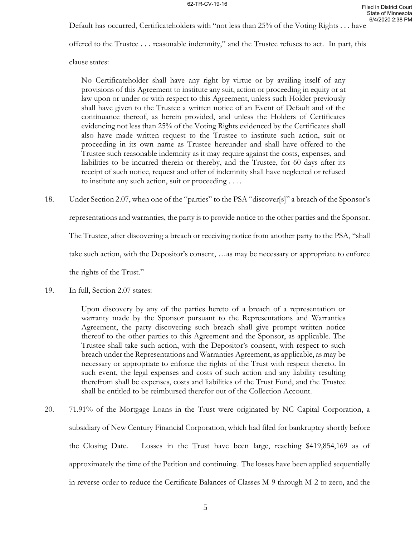Default has occurred, Certificateholders with "not less than 25% of the Voting Rights . . . have

offered to the Trustee . . . reasonable indemnity," and the Trustee refuses to act. In part, this

clause states:

No Certificateholder shall have any right by virtue or by availing itself of any provisions of this Agreement to institute any suit, action or proceeding in equity or at law upon or under or with respect to this Agreement, unless such Holder previously shall have given to the Trustee a written notice of an Event of Default and of the continuance thereof, as herein provided, and unless the Holders of Certificates evidencing not less than 25% of the Voting Rights evidenced by the Certificates shall also have made written request to the Trustee to institute such action, suit or proceeding in its own name as Trustee hereunder and shall have offered to the Trustee such reasonable indemnity as it may require against the costs, expenses, and liabilities to be incurred therein or thereby, and the Trustee, for 60 days after its receipt of such notice, request and offer of indemnity shall have neglected or refused to institute any such action, suit or proceeding . . . .

18. Under Section 2.07, when one of the "parties" to the PSA "discover[s]" a breach of the Sponsor's

representations and warranties, the party is to provide notice to the other parties and the Sponsor.

The Trustee, after discovering a breach or receiving notice from another party to the PSA, "shall

take such action, with the Depositor's consent, …as may be necessary or appropriate to enforce

the rights of the Trust."

19. In full, Section 2.07 states:

Upon discovery by any of the parties hereto of a breach of a representation or warranty made by the Sponsor pursuant to the Representations and Warranties Agreement, the party discovering such breach shall give prompt written notice thereof to the other parties to this Agreement and the Sponsor, as applicable. The Trustee shall take such action, with the Depositor's consent, with respect to such breach under the Representations and Warranties Agreement, as applicable, as may be necessary or appropriate to enforce the rights of the Trust with respect thereto. In such event, the legal expenses and costs of such action and any liability resulting therefrom shall be expenses, costs and liabilities of the Trust Fund, and the Trustee shall be entitled to be reimbursed therefor out of the Collection Account.

20. 71.91% of the Mortgage Loans in the Trust were originated by NC Capital Corporation, a subsidiary of New Century Financial Corporation, which had filed for bankruptcy shortly before the Closing Date. Losses in the Trust have been large, reaching \$419,854,169 as of approximately the time of the Petition and continuing. The losses have been applied sequentially in reverse order to reduce the Certificate Balances of Classes M-9 through M-2 to zero, and the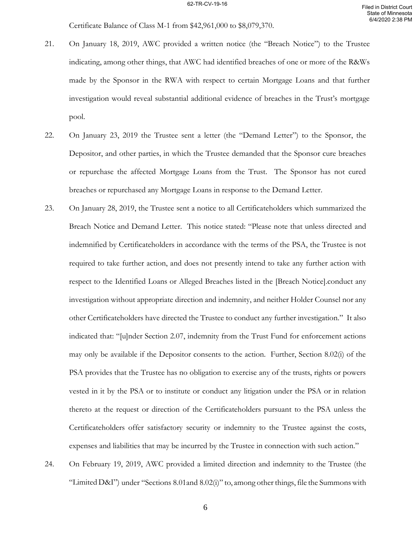Certificate Balance of Class M-1 from \$42,961,000 to \$8,079,370.

- 21. On January 18, 2019, AWC provided a written notice (the "Breach Notice") to the Trustee indicating, among other things, that AWC had identified breaches of one or more of the R&Ws made by the Sponsor in the RWA with respect to certain Mortgage Loans and that further investigation would reveal substantial additional evidence of breaches in the Trust's mortgage pool.
- 22. On January 23, 2019 the Trustee sent a letter (the "Demand Letter") to the Sponsor, the Depositor, and other parties, in which the Trustee demanded that the Sponsor cure breaches or repurchase the affected Mortgage Loans from the Trust. The Sponsor has not cured breaches or repurchased any Mortgage Loans in response to the Demand Letter.
- 23. On January 28, 2019, the Trustee sent a notice to all Certificateholders which summarized the Breach Notice and Demand Letter. This notice stated: "Please note that unless directed and indemnified by Certificateholders in accordance with the terms of the PSA, the Trustee is not required to take further action, and does not presently intend to take any further action with respect to the Identified Loans or Alleged Breaches listed in the [Breach Notice].conduct any investigation without appropriate direction and indemnity, and neither Holder Counsel nor any other Certificateholders have directed the Trustee to conduct any further investigation." It also indicated that: "[u]nder Section 2.07, indemnity from the Trust Fund for enforcement actions may only be available if the Depositor consents to the action. Further, Section 8.02(i) of the PSA provides that the Trustee has no obligation to exercise any of the trusts, rights or powers vested in it by the PSA or to institute or conduct any litigation under the PSA or in relation thereto at the request or direction of the Certificateholders pursuant to the PSA unless the Certificateholders offer satisfactory security or indemnity to the Trustee against the costs, expenses and liabilities that may be incurred by the Trustee in connection with such action."
- 24. On February 19, 2019, AWC provided a limited direction and indemnity to the Trustee (the "Limited D&I") under "Sections 8.01and 8.02(i)" to, among other things, file the Summons with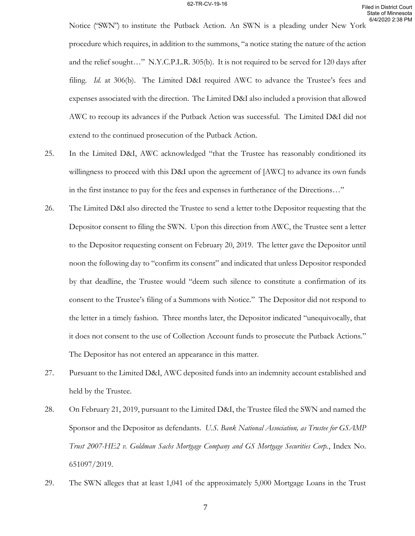Notice ("SWN") to institute the Putback Action. An SWN is a pleading under New York procedure which requires, in addition to the summons, "a notice stating the nature of the action and the relief sought…" N.Y.C.P.L.R. 305(b). It is not required to be served for 120 days after filing. *Id.* at 306(b). The Limited D&I required AWC to advance the Trustee's fees and expenses associated with the direction. The Limited D&I also included a provision that allowed AWC to recoup its advances if the Putback Action was successful. The Limited D&I did not extend to the continued prosecution of the Putback Action.

- 25. In the Limited D&I, AWC acknowledged "that the Trustee has reasonably conditioned its willingness to proceed with this D&I upon the agreement of [AWC] to advance its own funds in the first instance to pay for the fees and expenses in furtherance of the Directions…"
- 26. The Limited D&I also directed the Trustee to send a letter to the Depositor requesting that the Depositor consent to filing the SWN. Upon this direction from AWC, the Trustee sent a letter to the Depositor requesting consent on February 20, 2019. The letter gave the Depositor until noon the following day to "confirm its consent" and indicated that unless Depositor responded by that deadline, the Trustee would "deem such silence to constitute a confirmation of its consent to the Trustee's filing of a Summons with Notice." The Depositor did not respond to the letter in a timely fashion. Three months later, the Depositor indicated "unequivocally, that it does not consent to the use of Collection Account funds to prosecute the Putback Actions." The Depositor has not entered an appearance in this matter.
- 27. Pursuant to the Limited D&I, AWC deposited funds into an indemnity account established and held by the Trustee.
- 28. On February 21, 2019, pursuant to the Limited D&I, the Trustee filed the SWN and named the Sponsor and the Depositor as defendants. *U.S. Bank National Association, as Trustee for GSAMP Trust 2007-HE2 v. Goldman Sachs Mortgage Company and GS Mortgage Securities Corp.*, Index No. 651097/2019.
- 29. The SWN alleges that at least 1,041 of the approximately 5,000 Mortgage Loans in the Trust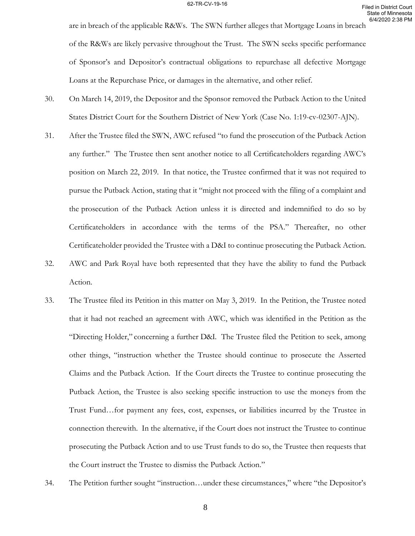are in breach of the applicable R&Ws. The SWN further alleges that Mortgage Loans in breach of the R&Ws are likely pervasive throughout the Trust. The SWN seeks specific performance of Sponsor's and Depositor's contractual obligations to repurchase all defective Mortgage Loans at the Repurchase Price, or damages in the alternative, and other relief.

- 30. On March 14, 2019, the Depositor and the Sponsor removed the Putback Action to the United States District Court for the Southern District of New York (Case No. 1:19-cv-02307-AJN).
- 31. After the Trustee filed the SWN, AWC refused "to fund the prosecution of the Putback Action any further." The Trustee then sent another notice to all Certificateholders regarding AWC's position on March 22, 2019. In that notice, the Trustee confirmed that it was not required to pursue the Putback Action, stating that it "might not proceed with the filing of a complaint and the prosecution of the Putback Action unless it is directed and indemnified to do so by Certificateholders in accordance with the terms of the PSA." Thereafter, no other Certificateholder provided the Trustee with a D&I to continue prosecuting the Putback Action.
- 32. AWC and Park Royal have both represented that they have the ability to fund the Putback Action.
- 33. The Trustee filed its Petition in this matter on May 3, 2019. In the Petition, the Trustee noted that it had not reached an agreement with AWC, which was identified in the Petition as the "Directing Holder," concerning a further D&I. The Trustee filed the Petition to seek, among other things, "instruction whether the Trustee should continue to prosecute the Asserted Claims and the Putback Action. If the Court directs the Trustee to continue prosecuting the Putback Action, the Trustee is also seeking specific instruction to use the moneys from the Trust Fund…for payment any fees, cost, expenses, or liabilities incurred by the Trustee in connection therewith. In the alternative, if the Court does not instruct the Trustee to continue prosecuting the Putback Action and to use Trust funds to do so, the Trustee then requests that the Court instruct the Trustee to dismiss the Putback Action."
- 34. The Petition further sought "instruction…under these circumstances," where "the Depositor's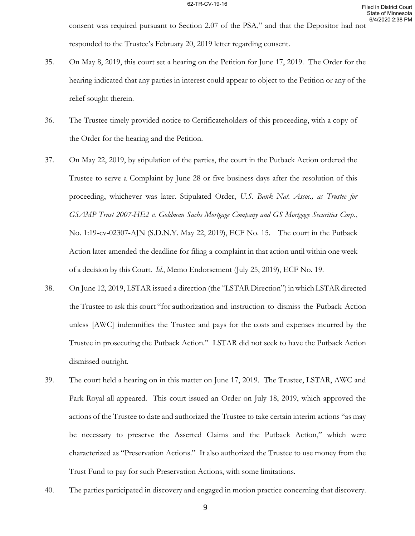consent was required pursuant to Section 2.07 of the PSA," and that the Depositor had not responded to the Trustee's February 20, 2019 letter regarding consent.

- 35. On May 8, 2019, this court set a hearing on the Petition for June 17, 2019. The Order for the hearing indicated that any parties in interest could appear to object to the Petition or any of the relief sought therein.
- 36. The Trustee timely provided notice to Certificateholders of this proceeding, with a copy of the Order for the hearing and the Petition.
- 37. On May 22, 2019, by stipulation of the parties, the court in the Putback Action ordered the Trustee to serve a Complaint by June 28 or five business days after the resolution of this proceeding, whichever was later. Stipulated Order, *U.S. Bank Nat. Assoc., as Trustee for GSAMP Trust 2007-HE2 v. Goldman Sachs Mortgage Company and GS Mortgage Securities Corp.*, No. 1:19-cv-02307-AJN (S.D.N.Y. May 22, 2019), ECF No. 15. The court in the Putback Action later amended the deadline for filing a complaint in that action until within one week of a decision by this Court. *Id.*, Memo Endorsement (July 25, 2019), ECF No. 19.
- 38. On June 12, 2019, LSTAR issued a direction (the "LSTAR Direction") in which LSTAR directed the Trustee to ask this court "for authorization and instruction to dismiss the Putback Action unless [AWC] indemnifies the Trustee and pays for the costs and expenses incurred by the Trustee in prosecuting the Putback Action." LSTAR did not seek to have the Putback Action dismissed outright.
- 39. The court held a hearing on in this matter on June 17, 2019. The Trustee, LSTAR, AWC and Park Royal all appeared. This court issued an Order on July 18, 2019, which approved the actions of the Trustee to date and authorized the Trustee to take certain interim actions "as may be necessary to preserve the Asserted Claims and the Putback Action," which were characterized as "Preservation Actions." It also authorized the Trustee to use money from the Trust Fund to pay for such Preservation Actions, with some limitations.
- 40. The parties participated in discovery and engaged in motion practice concerning that discovery.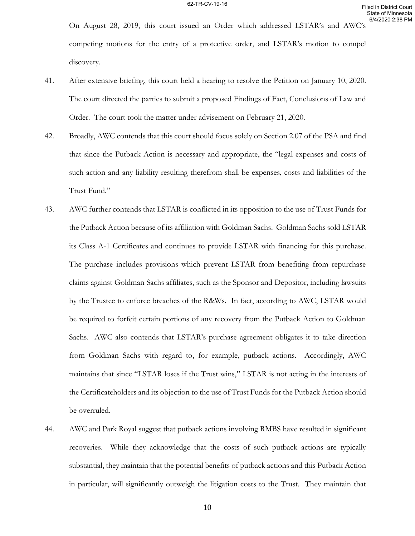On August 28, 2019, this court issued an Order which addressed LSTAR's and AWC's competing motions for the entry of a protective order, and LSTAR's motion to compel discovery.

- 41. After extensive briefing, this court held a hearing to resolve the Petition on January 10, 2020. The court directed the parties to submit a proposed Findings of Fact, Conclusions of Law and Order. The court took the matter under advisement on February 21, 2020.
- 42. Broadly, AWC contends that this court should focus solely on Section 2.07 of the PSA and find that since the Putback Action is necessary and appropriate, the "legal expenses and costs of such action and any liability resulting therefrom shall be expenses, costs and liabilities of the Trust Fund."
- 43. AWC further contends that LSTAR is conflicted in its opposition to the use of Trust Funds for the Putback Action because of its affiliation with Goldman Sachs. Goldman Sachs sold LSTAR its Class A-1 Certificates and continues to provide LSTAR with financing for this purchase. The purchase includes provisions which prevent LSTAR from benefiting from repurchase claims against Goldman Sachs affiliates, such as the Sponsor and Depositor, including lawsuits by the Trustee to enforce breaches of the R&Ws. In fact, according to AWC, LSTAR would be required to forfeit certain portions of any recovery from the Putback Action to Goldman Sachs. AWC also contends that LSTAR's purchase agreement obligates it to take direction from Goldman Sachs with regard to, for example, putback actions. Accordingly, AWC maintains that since "LSTAR loses if the Trust wins," LSTAR is not acting in the interests of the Certificateholders and its objection to the use of Trust Funds for the Putback Action should be overruled.
- 44. AWC and Park Royal suggest that putback actions involving RMBS have resulted in significant recoveries. While they acknowledge that the costs of such putback actions are typically substantial, they maintain that the potential benefits of putback actions and this Putback Action in particular, will significantly outweigh the litigation costs to the Trust. They maintain that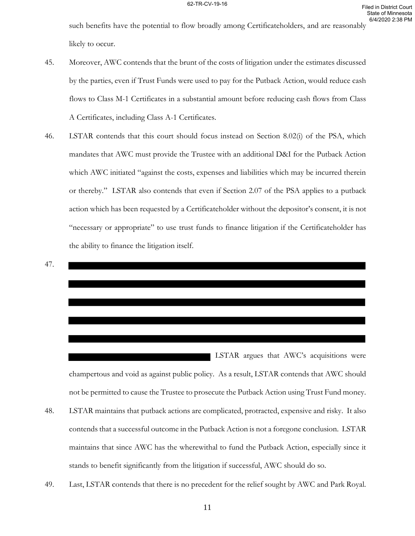such benefits have the potential to flow broadly among Certificateholders, and are reasonably likely to occur.

- 45. Moreover, AWC contends that the brunt of the costs of litigation under the estimates discussed by the parties, even if Trust Funds were used to pay for the Putback Action, would reduce cash flows to Class M-1 Certificates in a substantial amount before reducing cash flows from Class A Certificates, including Class A-1 Certificates.
- 46. LSTAR contends that this court should focus instead on Section 8.02(i) of the PSA, which mandates that AWC must provide the Trustee with an additional D&I for the Putback Action which AWC initiated "against the costs, expenses and liabilities which may be incurred therein or thereby." LSTAR also contends that even if Section 2.07 of the PSA applies to a putback action which has been requested by a Certificateholder without the depositor's consent, it is not "necessary or appropriate" to use trust funds to finance litigation if the Certificateholder has the ability to finance the litigation itself.

$$
47.
$$

champertous and void as against public policy. As a result, LSTAR contends that AWC should not be permitted to cause the Trustee to prosecute the Putback Action using Trust Fund money.

LSTAR argues that AWC's acquisitions were

- 48. LSTAR maintains that putback actions are complicated, protracted, expensive and risky. It also contends that a successful outcome in the Putback Action is not a foregone conclusion. LSTAR maintains that since AWC has the wherewithal to fund the Putback Action, especially since it stands to benefit significantly from the litigation if successful, AWC should do so.
- 49. Last, LSTAR contends that there is no precedent for the relief sought by AWC and Park Royal.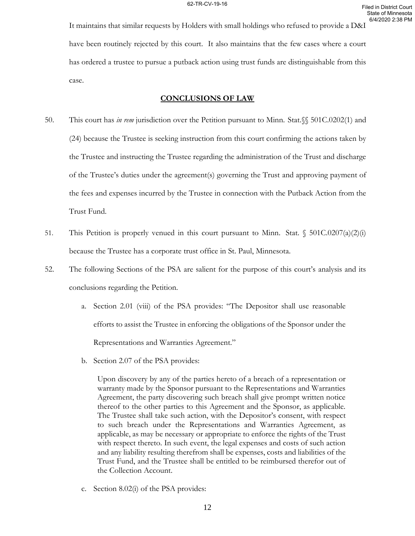It maintains that similar requests by Holders with small holdings who refused to provide a D&I have been routinely rejected by this court. It also maintains that the few cases where a court has ordered a trustee to pursue a putback action using trust funds are distinguishable from this case.

## **CONCLUSIONS OF LAW**

- 50. This court has *in rem* jurisdiction over the Petition pursuant to Minn. Stat.§§ 501C.0202(1) and (24) because the Trustee is seeking instruction from this court confirming the actions taken by the Trustee and instructing the Trustee regarding the administration of the Trust and discharge of the Trustee's duties under the agreement(s) governing the Trust and approving payment of the fees and expenses incurred by the Trustee in connection with the Putback Action from the Trust Fund.
- 51. This Petition is properly venued in this court pursuant to Minn. Stat.  $\S$  501C.0207(a)(2)(i) because the Trustee has a corporate trust office in St. Paul, Minnesota.
- 52. The following Sections of the PSA are salient for the purpose of this court's analysis and its conclusions regarding the Petition.
	- a. Section 2.01 (viii) of the PSA provides: "The Depositor shall use reasonable efforts to assist the Trustee in enforcing the obligations of the Sponsor under the Representations and Warranties Agreement."
	- b. Section 2.07 of the PSA provides:

Upon discovery by any of the parties hereto of a breach of a representation or warranty made by the Sponsor pursuant to the Representations and Warranties Agreement, the party discovering such breach shall give prompt written notice thereof to the other parties to this Agreement and the Sponsor, as applicable. The Trustee shall take such action, with the Depositor's consent, with respect to such breach under the Representations and Warranties Agreement, as applicable, as may be necessary or appropriate to enforce the rights of the Trust with respect thereto. In such event, the legal expenses and costs of such action and any liability resulting therefrom shall be expenses, costs and liabilities of the Trust Fund, and the Trustee shall be entitled to be reimbursed therefor out of the Collection Account.

c. Section 8.02(i) of the PSA provides: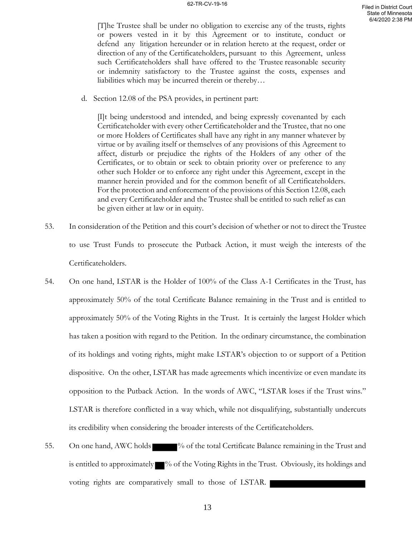[T]he Trustee shall be under no obligation to exercise any of the trusts, rights or powers vested in it by this Agreement or to institute, conduct or defend any litigation hereunder or in relation hereto at the request, order or direction of any of the Certificateholders, pursuant to this Agreement, unless such Certificateholders shall have offered to the Trustee reasonable security or indemnity satisfactory to the Trustee against the costs, expenses and liabilities which may be incurred therein or thereby…

d. Section 12.08 of the PSA provides, in pertinent part:

[I]t being understood and intended, and being expressly covenanted by each Certificateholder with every other Certificateholder and the Trustee, that no one or more Holders of Certificates shall have any right in any manner whatever by virtue or by availing itself or themselves of any provisions of this Agreement to affect, disturb or prejudice the rights of the Holders of any other of the Certificates, or to obtain or seek to obtain priority over or preference to any other such Holder or to enforce any right under this Agreement, except in the manner herein provided and for the common benefit of all Certificateholders. For the protection and enforcement of the provisions of this Section 12.08, each and every Certificateholder and the Trustee shall be entitled to such relief as can be given either at law or in equity.

- 53. In consideration of the Petition and this court's decision of whether or not to direct the Trustee to use Trust Funds to prosecute the Putback Action, it must weigh the interests of the Certificateholders.
- 54. On one hand, LSTAR is the Holder of 100% of the Class A-1 Certificates in the Trust, has approximately 50% of the total Certificate Balance remaining in the Trust and is entitled to approximately 50% of the Voting Rights in the Trust. It is certainly the largest Holder which has taken a position with regard to the Petition. In the ordinary circumstance, the combination of its holdings and voting rights, might make LSTAR's objection to or support of a Petition dispositive. On the other, LSTAR has made agreements which incentivize or even mandate its opposition to the Putback Action. In the words of AWC, "LSTAR loses if the Trust wins." LSTAR is therefore conflicted in a way which, while not disqualifying, substantially undercuts its credibility when considering the broader interests of the Certificateholders.
- 55. On one hand, AWC holds  $\blacksquare$ % of the total Certificate Balance remaining in the Trust and is entitled to approximately  $\blacksquare$ % of the Voting Rights in the Trust. Obviously, its holdings and voting rights are comparatively small to those of LSTAR.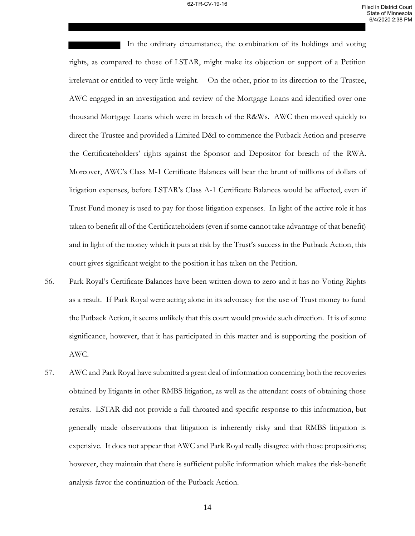In the ordinary circumstance, the combination of its holdings and voting rights, as compared to those of LSTAR, might make its objection or support of a Petition irrelevant or entitled to very little weight. On the other, prior to its direction to the Trustee, AWC engaged in an investigation and review of the Mortgage Loans and identified over one thousand Mortgage Loans which were in breach of the R&Ws. AWC then moved quickly to direct the Trustee and provided a Limited D&I to commence the Putback Action and preserve the Certificateholders' rights against the Sponsor and Depositor for breach of the RWA. Moreover, AWC's Class M-1 Certificate Balances will bear the brunt of millions of dollars of litigation expenses, before LSTAR's Class A-1 Certificate Balances would be affected, even if Trust Fund money is used to pay for those litigation expenses. In light of the active role it has taken to benefit all of the Certificateholders (even if some cannot take advantage of that benefit) and in light of the money which it puts at risk by the Trust's success in the Putback Action, this court gives significant weight to the position it has taken on the Petition.

- 56. Park Royal's Certificate Balances have been written down to zero and it has no Voting Rights as a result. If Park Royal were acting alone in its advocacy for the use of Trust money to fund the Putback Action, it seems unlikely that this court would provide such direction. It is of some significance, however, that it has participated in this matter and is supporting the position of AWC.
- 57. AWC and Park Royal have submitted a great deal of information concerning both the recoveries obtained by litigants in other RMBS litigation, as well as the attendant costs of obtaining those results. LSTAR did not provide a full-throated and specific response to this information, but generally made observations that litigation is inherently risky and that RMBS litigation is expensive. It does not appear that AWC and Park Royal really disagree with those propositions; however, they maintain that there is sufficient public information which makes the risk-benefit analysis favor the continuation of the Putback Action.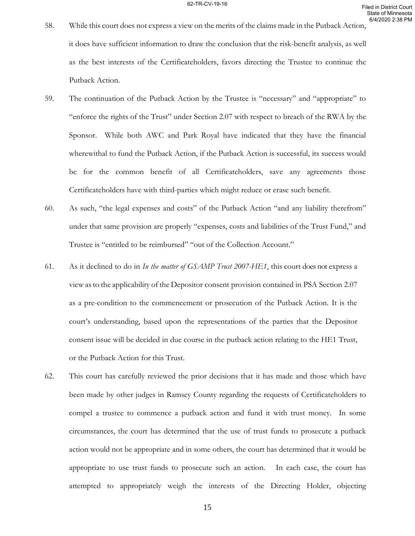- 58. While this court does not express a view on the merits of the claims made in the Putback Action, it does have sufficient information to draw the conclusion that the risk-benefit analysis, as well as the best interests of the Certificateholders, favors directing the Trustee to continue the Putback Action.
- 59. The continuation of the Putback Action by the Trustee is "necessary" and "appropriate" to "enforce the rights of the Trust" under Section 2.07 with respect to breach of the RWA by the Sponsor. While both AWC and Park Royal have indicated that they have the financial wherewithal to fund the Putback Action, if the Putback Action is successful, its success would be for the common benefit of all Certificateholders, save any agreements those Certificateholders have with third-parties which might reduce or erase such benefit.
- 60. As such, "the legal expenses and costs" of the Putback Action "and any liability therefrom" under that same provision are properly "expenses, costs and liabilities of the Trust Fund," and Trustee is "entitled to be reimbursed" "out of the Collection Account."
- 61. As it declined to do in *In the matter of GSAMP Trust 2007-HE1*, this court does not express a view asto the applicability of the Depositor consent provision contained in PSA Section 2.07 as a pre-condition to the commencement or prosecution of the Putback Action. It is the court's understanding, based upon the representations of the parties that the Depositor consent issue will be decided in due course in the putback action relating to the HE1 Trust, or the Putback Action for this Trust.
- 62. This court has carefully reviewed the prior decisions that it has made and those which have been made by other judges in Ramsey County regarding the requests of Certificateholders to compel a trustee to commence a putback action and fund it with trust money. In some circumstances, the court has determined that the use of trust funds to prosecute a putback action would not be appropriate and in some others, the court has determined that it would be appropriate to use trust funds to prosecute such an action. In each case, the court has attempted to appropriately weigh the interests of the Directing Holder, objecting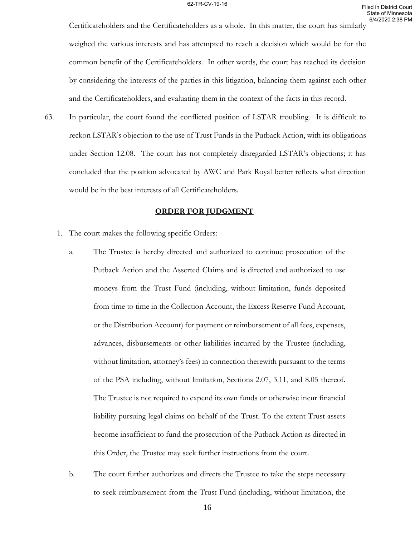Certificateholders and the Certificateholders as a whole. In this matter, the court has similarly weighed the various interests and has attempted to reach a decision which would be for the common benefit of the Certificateholders. In other words, the court has reached its decision by considering the interests of the parties in this litigation, balancing them against each other and the Certificateholders, and evaluating them in the context of the facts in this record.

63. In particular, the court found the conflicted position of LSTAR troubling. It is difficult to reckon LSTAR's objection to the use of Trust Funds in the Putback Action, with its obligations under Section 12.08. The court has not completely disregarded LSTAR's objections; it has concluded that the position advocated by AWC and Park Royal better reflects what direction would be in the best interests of all Certificateholders.

# **ORDER FOR JUDGMENT**

- 1. The court makes the following specific Orders:
	- a. The Trustee is hereby directed and authorized to continue prosecution of the Putback Action and the Asserted Claims and is directed and authorized to use moneys from the Trust Fund (including, without limitation, funds deposited from time to time in the Collection Account, the Excess Reserve Fund Account, or the Distribution Account) for payment or reimbursement of all fees, expenses, advances, disbursements or other liabilities incurred by the Trustee (including, without limitation, attorney's fees) in connection therewith pursuant to the terms of the PSA including, without limitation, Sections 2.07, 3.11, and 8.05 thereof. The Trustee is not required to expend its own funds or otherwise incur financial liability pursuing legal claims on behalf of the Trust. To the extent Trust assets become insufficient to fund the prosecution of the Putback Action as directed in this Order, the Trustee may seek further instructions from the court.
	- b. The court further authorizes and directs the Trustee to take the steps necessary to seek reimbursement from the Trust Fund (including, without limitation, the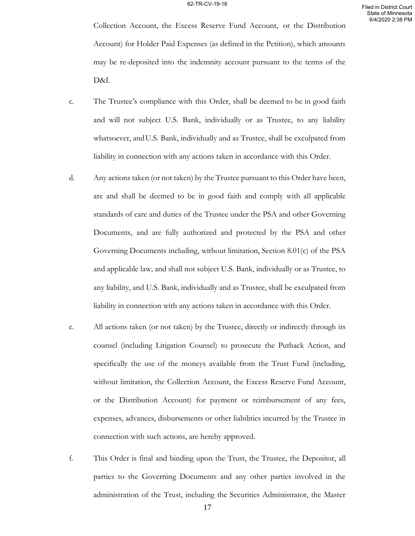Collection Account, the Excess Reserve Fund Account, or the Distribution Account) for Holder Paid Expenses (as defined in the Petition), which amounts may be re-deposited into the indemnity account pursuant to the terms of the D&I.

- c. The Trustee's compliance with this Order, shall be deemed to be in good faith and will not subject U.S. Bank, individually or as Trustee, to any liability whatsoever, and U.S. Bank, individually and as Trustee, shall be exculpated from liability in connection with any actions taken in accordance with this Order.
- d. Any actions taken (or not taken) by the Trustee pursuant to this Order have been, are and shall be deemed to be in good faith and comply with all applicable standards of care and duties of the Trustee under the PSA and other Governing Documents, and are fully authorized and protected by the PSA and other Governing Documents including, without limitation, Section 8.01(c) of the PSA and applicable law, and shall not subject U.S. Bank, individually or as Trustee, to any liability, and U.S. Bank, individually and as Trustee, shall be exculpated from liability in connection with any actions taken in accordance with this Order.
- e. All actions taken (or not taken) by the Trustee, directly or indirectly through its counsel (including Litigation Counsel) to prosecute the Putback Action, and specifically the use of the moneys available from the Trust Fund (including, without limitation, the Collection Account, the Excess Reserve Fund Account, or the Distribution Account) for payment or reimbursement of any fees, expenses, advances, disbursements or other liabilities incurred by the Trustee in connection with such actions, are hereby approved.
- f. This Order is final and binding upon the Trust, the Trustee, the Depositor, all parties to the Governing Documents and any other parties involved in the administration of the Trust, including the Securities Administrator, the Master